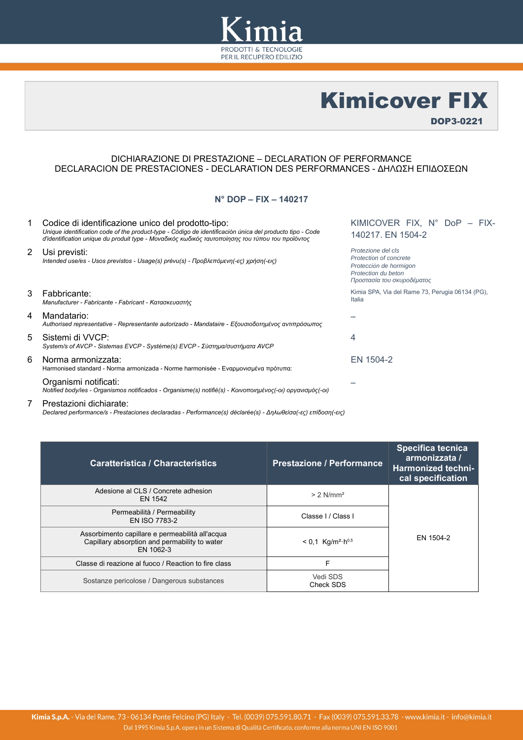

Kimicover FIX

DOP3-0221

### DICHIARAZIONE DI PRESTAZIONE – DECLARATION OF PERFORMANCE DECLARACION DE PRESTACIONES - DECLARATION DES PERFORMANCES - ΔΗΛΩΣΗ ΕΠΙΔΟΣΕΩN

## **N° DOP – FIX – 140217**

| 1                     | Codice di identificazione unico del prodotto-tipo:<br>Unique identification code of the product-type - Código de identificación única del producto tipo - Code<br>d'identification unique du produit type - Μοναδικός κωδικός ταυτοποίησης του τύπου του προϊόντος | KIMICOVER FIX, N° DoP - FIX-<br>140217. EN 1504-2                                                                           |  |
|-----------------------|--------------------------------------------------------------------------------------------------------------------------------------------------------------------------------------------------------------------------------------------------------------------|-----------------------------------------------------------------------------------------------------------------------------|--|
| $\mathbf{2}^{\prime}$ | Usi previsti:<br>Intended use/es - Usos previstos - Usage(s) prévu(s) - Προβλεπόμενη(-ες) χρήση(-εις)                                                                                                                                                              | Protezione del cls<br>Protection of concrete<br>Protección de hormigon<br>Protection du beton<br>Προστασία του σκυροδέματος |  |
| 3                     | Fabbricante:<br>Manufacturer - Fabricante - Fabricant - Κατασκευαστής                                                                                                                                                                                              | Kimia SPA, Via del Rame 73, Perugia 06134 (PG),<br>Italia                                                                   |  |
| 4                     | Mandatario:<br>Authorised representative - Representante autorizado - Mandataire - Εξουσιοδοτημένος αντιπρόσωπος                                                                                                                                                   |                                                                                                                             |  |
| 5                     | Sistemi di VVCP:<br>System/s of AVCP - Sistemas EVCP - Système(s) EVCP - Σύστημα/συστήματα AVCP                                                                                                                                                                    | 4                                                                                                                           |  |
| 6                     | Norma armonizzata:<br>Harmonised standard - Norma armonizada - Norme harmonisée - Εναρμονισμένα πρότυπα:                                                                                                                                                           | EN 1504-2                                                                                                                   |  |
|                       | Organismi notificati:<br>Notified body/ies - Organismos notificados - Organisme(s) notifié(s) - Κοινοποιημένος(-οι) οργανισμός(-οι)                                                                                                                                |                                                                                                                             |  |
|                       |                                                                                                                                                                                                                                                                    |                                                                                                                             |  |

# 7 Prestazioni dichiarate:

*Declared performance/s - Prestaciones declaradas - Performance(s) déclarée(s) - Δηλωθείσα(-ες) επίδοση(-εις)*

| <b>Caratteristica / Characteristics</b>                                                                       | <b>Prestazione / Performance</b>            | Specifica tecnica<br>armonizzata /<br><b>Harmonized techni-</b><br>cal specification |
|---------------------------------------------------------------------------------------------------------------|---------------------------------------------|--------------------------------------------------------------------------------------|
| Adesione al CLS / Concrete adhesion<br>EN 1542                                                                | $> 2$ N/mm <sup>2</sup>                     |                                                                                      |
| Permeabilità / Permeability<br>EN ISO 7783-2                                                                  | Classe I / Class I                          |                                                                                      |
| Assorbimento capillare e permeabilità all'acqua<br>Capillary absorption and permability to water<br>EN 1062-3 | $< 0.1$ Kg/m <sup>2</sup> ·h <sup>0,5</sup> | EN 1504-2                                                                            |
| Classe di reazione al fuoco / Reaction to fire class                                                          | F                                           |                                                                                      |
| Sostanze pericolose / Dangerous substances                                                                    | Vedi SDS<br>Check SDS                       |                                                                                      |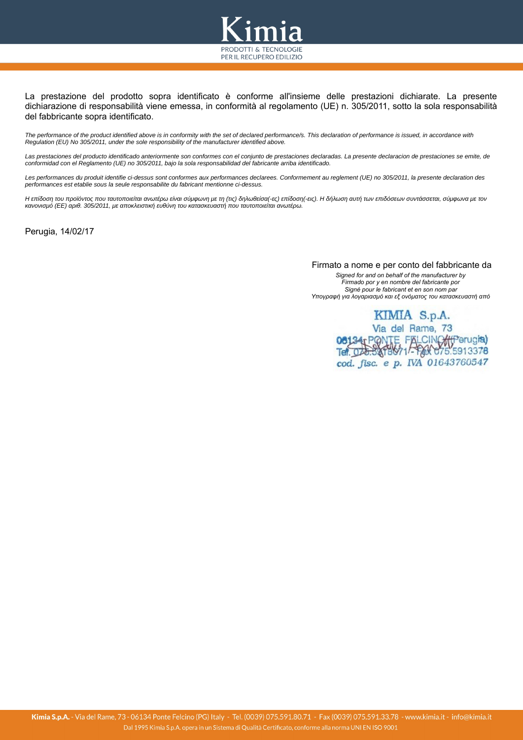

La prestazione del prodotto sopra identificato è conforme all'insieme delle prestazioni dichiarate. La presente dichiarazione di responsabilità viene emessa, in conformità al regolamento (UE) n. 305/2011, sotto la sola responsabilità del fabbricante sopra identificato.

*The performance of the product identified above is in conformity with the set of declared performance/s. This declaration of performance is issued, in accordance with Regulation (EU) No 305/2011, under the sole responsibility of the manufacturer identified above.*

*Las prestaciones del producto identificado anteriormente son conformes con el conjunto de prestaciones declaradas. La presente declaracion de prestaciones se emite, de conformidad con el Reglamento (UE) no 305/2011, bajo la sola responsabilidad del fabricante arriba identificado.*

*Les performances du produit identifie ci-dessus sont conformes aux performances declarees. Conformement au reglement (UE) no 305/2011, la presente declaration des performances est etablie sous la seule responsabilite du fabricant mentionne ci-dessus.*

*Η επίδοση του προϊόντος που ταυτοποιείται ανωτέρω είναι σύμφωνη με τη (τις) δηλωθείσα(-ες) επίδοση(-εις). Η δήλωση αυτή των επιδόσεων συντάσσεται, σύμφωνα με τον κανονισμό (ΕΕ) αριθ. 305/2011, με αποκλειστική ευθύνη του κατασκευαστή που ταυτοποιείται ανωτέρω.*

Perugia, 14/02/17

 Firmato a nome e per conto del fabbricante da *Signed for and on behalf of the manufacturer by Firmado por y en nombre del fabricante por Signé pour le fabricant et en son nom par Υπογραφή για λογαριασμό και εξ ονόματος του κατασκευαστή από*

> KIMIA S.p.A. Via del Rame, 73 08134 PONTE FALCINO (Perugia) cod. fisc. e p. IVA 01643760547